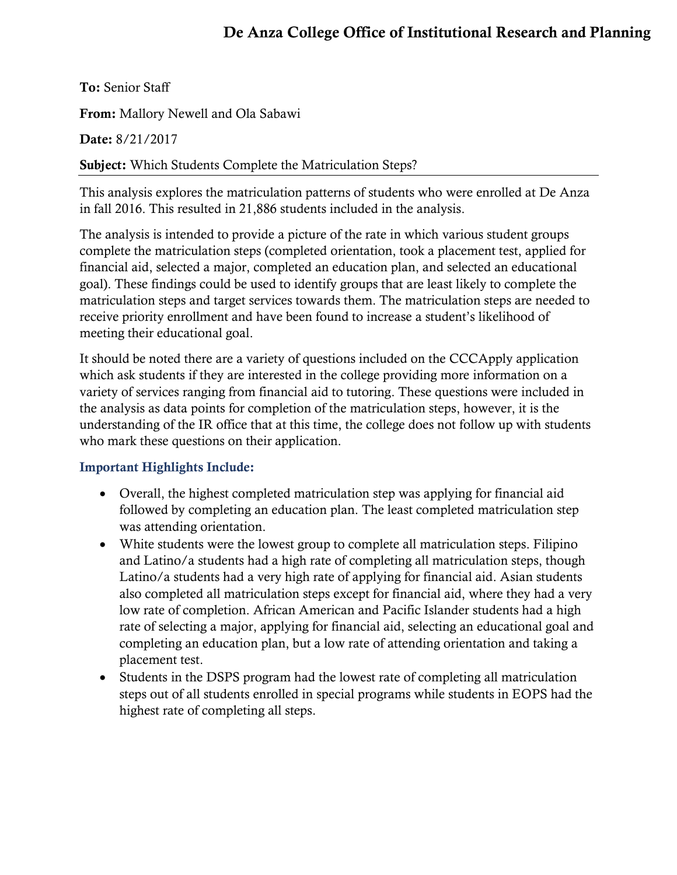## De Anza College Office of Institutional Research and Planning

To: Senior Staff

From: Mallory Newell and Ola Sabawi

Date: 8/21/2017

Subject: Which Students Complete the Matriculation Steps?

This analysis explores the matriculation patterns of students who were enrolled at De Anza in fall 2016. This resulted in 21,886 students included in the analysis.

The analysis is intended to provide a picture of the rate in which various student groups complete the matriculation steps (completed orientation, took a placement test, applied for financial aid, selected a major, completed an education plan, and selected an educational goal). These findings could be used to identify groups that are least likely to complete the matriculation steps and target services towards them. The matriculation steps are needed to receive priority enrollment and have been found to increase a student's likelihood of meeting their educational goal.

It should be noted there are a variety of questions included on the CCCApply application which ask students if they are interested in the college providing more information on a variety of services ranging from financial aid to tutoring. These questions were included in the analysis as data points for completion of the matriculation steps, however, it is the understanding of the IR office that at this time, the college does not follow up with students who mark these questions on their application.

#### Important Highlights Include:

- Overall, the highest completed matriculation step was applying for financial aid followed by completing an education plan. The least completed matriculation step was attending orientation.
- White students were the lowest group to complete all matriculation steps. Filipino and Latino/a students had a high rate of completing all matriculation steps, though Latino/a students had a very high rate of applying for financial aid. Asian students also completed all matriculation steps except for financial aid, where they had a very low rate of completion. African American and Pacific Islander students had a high rate of selecting a major, applying for financial aid, selecting an educational goal and completing an education plan, but a low rate of attending orientation and taking a placement test.
- Students in the DSPS program had the lowest rate of completing all matriculation steps out of all students enrolled in special programs while students in EOPS had the highest rate of completing all steps.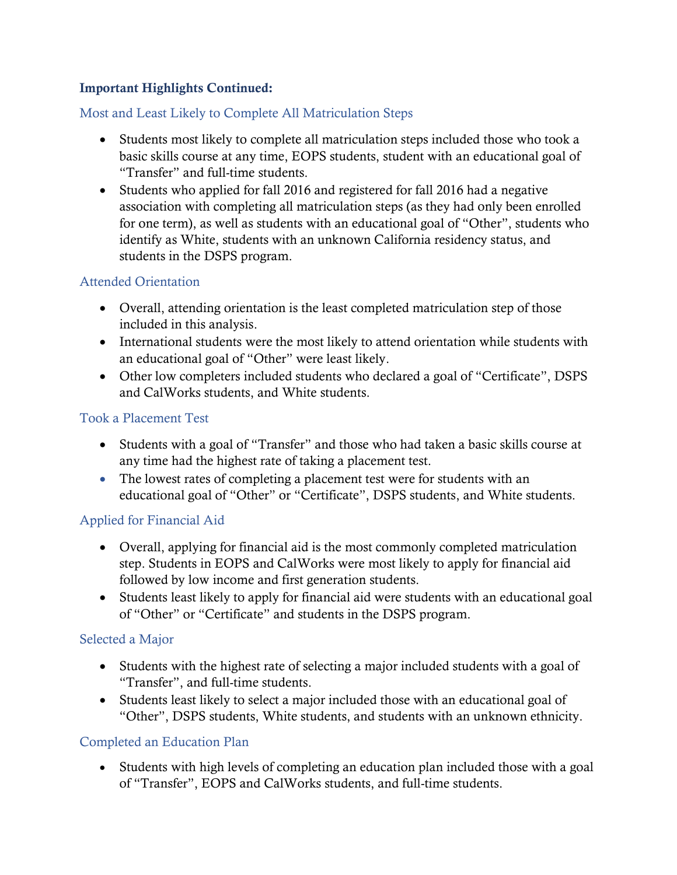#### Important Highlights Continued:

#### Most and Least Likely to Complete All Matriculation Steps

- Students most likely to complete all matriculation steps included those who took a basic skills course at any time, EOPS students, student with an educational goal of "Transfer" and full-time students.
- Students who applied for fall 2016 and registered for fall 2016 had a negative association with completing all matriculation steps (as they had only been enrolled for one term), as well as students with an educational goal of "Other", students who identify as White, students with an unknown California residency status, and students in the DSPS program.

#### Attended Orientation

- Overall, attending orientation is the least completed matriculation step of those included in this analysis.
- International students were the most likely to attend orientation while students with an educational goal of "Other" were least likely.
- Other low completers included students who declared a goal of "Certificate", DSPS and CalWorks students, and White students.

#### Took a Placement Test

- Students with a goal of "Transfer" and those who had taken a basic skills course at any time had the highest rate of taking a placement test.
- The lowest rates of completing a placement test were for students with an educational goal of "Other" or "Certificate", DSPS students, and White students.

#### Applied for Financial Aid

- Overall, applying for financial aid is the most commonly completed matriculation step. Students in EOPS and CalWorks were most likely to apply for financial aid followed by low income and first generation students.
- Students least likely to apply for financial aid were students with an educational goal of "Other" or "Certificate" and students in the DSPS program.

#### Selected a Major

- Students with the highest rate of selecting a major included students with a goal of "Transfer", and full-time students.
- Students least likely to select a major included those with an educational goal of "Other", DSPS students, White students, and students with an unknown ethnicity.

#### Completed an Education Plan

 Students with high levels of completing an education plan included those with a goal of "Transfer", EOPS and CalWorks students, and full-time students.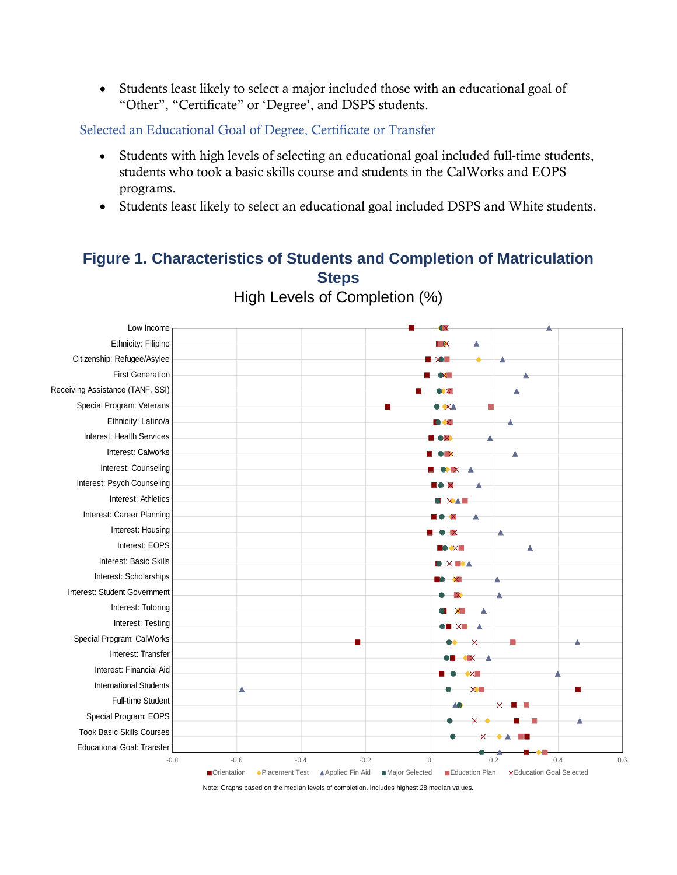Students least likely to select a major included those with an educational goal of "Other", "Certificate" or 'Degree', and DSPS students.

Selected an Educational Goal of Degree, Certificate or Transfer

- Students with high levels of selecting an educational goal included full-time students, students who took a basic skills course and students in the CalWorks and EOPS programs.
- Students least likely to select an educational goal included DSPS and White students.

# **Figure 1. Characteristics of Students and Completion of Matriculation Steps**

Low Income Ethnicity: Filipino **IX** Citizenship: Refugee/Asylee **XII** Λ First Generation Receiving Assistance (TANF, SSI)  $\bullet x$ Special Program: Veterans  $\bullet$  XA Ethnicity: Latino/a X Interest: Health Services Interest: Calworks Interest: Counseling Interest: Psych Counseling Interest: Athletics **BEXALE** Interest: Career Planning Interest: Housing Interest: EOPS Interest: Basic Skills **OXBM** Interest: Scholarships Interest: Student Government Interest: Tutoring Interest: Testing Special Program: CalWorks ō  $\overline{\mathsf{x}}$ Interest: Transfer **X** Interest: Financial Aid International Students Full-time Student Special Program: EOPS  $\overline{\mathbf{x}}$ Took Basic Skills Courses Educational Goal: Transfer-0.8 -0.6 -0.4 -0.2 0 0.2 0.4 0.6 ■Orientation • Placement Test ▲ Applied Fin Aid • Major Selected ■ Education Plan × Education Goal Selected

High Levels of Completion (%)

Note: Graphs based on the median levels of completion. Includes highest 28 median values.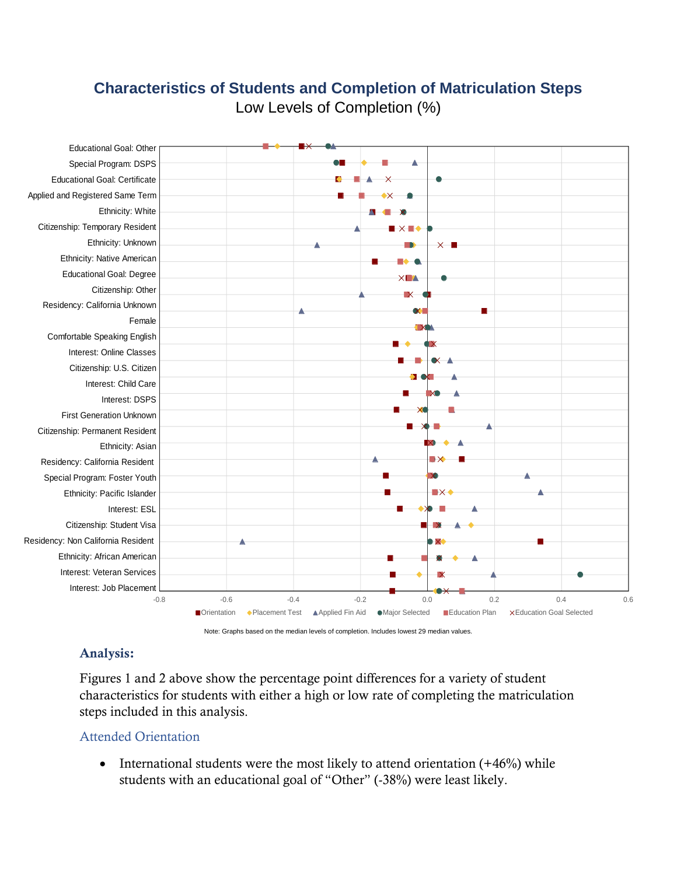# **Characteristics of Students and Completion of Matriculation Steps**



Low Levels of Completion (%)

Note: Graphs based on the median levels of completion. Includes lowest 29 median values.

## Analysis:

Figures 1 and 2 above show the percentage point differences for a variety of student characteristics for students with either a high or low rate of completing the matriculation steps included in this analysis.

#### Attended Orientation

• International students were the most likely to attend orientation  $(+46%)$  while students with an educational goal of "Other" (-38%) were least likely.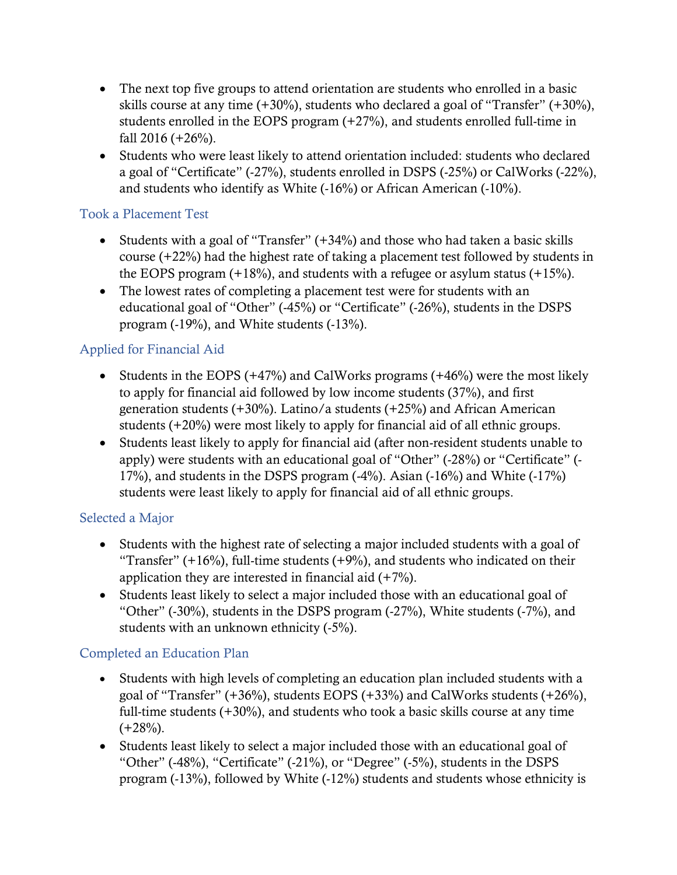- The next top five groups to attend orientation are students who enrolled in a basic skills course at any time (+30%), students who declared a goal of "Transfer" (+30%), students enrolled in the EOPS program (+27%), and students enrolled full-time in fall  $2016 (+26%)$ .
- Students who were least likely to attend orientation included: students who declared a goal of "Certificate" (-27%), students enrolled in DSPS (-25%) or CalWorks (-22%), and students who identify as White (-16%) or African American (-10%).

#### Took a Placement Test

- Students with a goal of "Transfer" (+34%) and those who had taken a basic skills course (+22%) had the highest rate of taking a placement test followed by students in the EOPS program  $(+18%)$ , and students with a refugee or asylum status  $(+15%)$ .
- The lowest rates of completing a placement test were for students with an educational goal of "Other" (-45%) or "Certificate" (-26%), students in the DSPS program (-19%), and White students (-13%).

## Applied for Financial Aid

- Students in the EOPS  $(+47%)$  and CalWorks programs  $(+46%)$  were the most likely to apply for financial aid followed by low income students (37%), and first generation students  $(+30\%)$ . Latino/a students  $(+25\%)$  and African American students (+20%) were most likely to apply for financial aid of all ethnic groups.
- Students least likely to apply for financial aid (after non-resident students unable to apply) were students with an educational goal of "Other" (-28%) or "Certificate" (- 17%), and students in the DSPS program (-4%). Asian (-16%) and White (-17%) students were least likely to apply for financial aid of all ethnic groups.

#### Selected a Major

- Students with the highest rate of selecting a major included students with a goal of "Transfer"  $(+16%)$ , full-time students  $(+9%)$ , and students who indicated on their application they are interested in financial aid  $(+7%)$ .
- Students least likely to select a major included those with an educational goal of "Other" (-30%), students in the DSPS program (-27%), White students (-7%), and students with an unknown ethnicity (-5%).

## Completed an Education Plan

- Students with high levels of completing an education plan included students with a goal of "Transfer"  $(+36\%)$ , students EOPS  $(+33\%)$  and CalWorks students  $(+26\%)$ . full-time students  $(+30\%)$ , and students who took a basic skills course at any time  $(+28%)$ .
- Students least likely to select a major included those with an educational goal of "Other" (-48%), "Certificate" (-21%), or "Degree" (-5%), students in the DSPS program (-13%), followed by White (-12%) students and students whose ethnicity is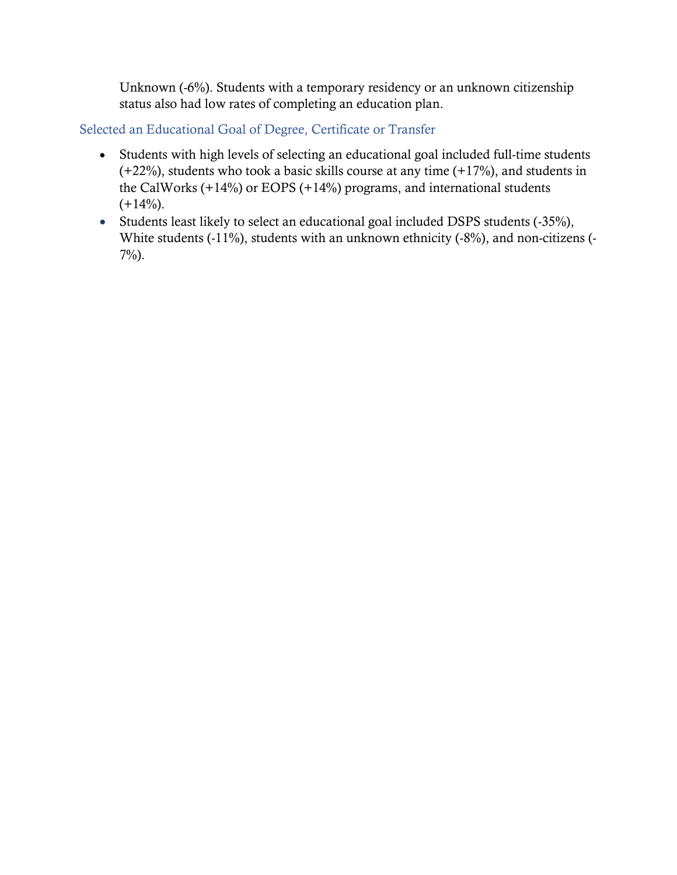Unknown (-6%). Students with a temporary residency or an unknown citizenship status also had low rates of completing an education plan.

Selected an Educational Goal of Degree, Certificate or Transfer

- Students with high levels of selecting an educational goal included full-time students (+22%), students who took a basic skills course at any time (+17%), and students in the CalWorks  $(+14%)$  or EOPS  $(+14%)$  programs, and international students  $(+14\%).$
- Students least likely to select an educational goal included DSPS students (-35%), White students (-11%), students with an unknown ethnicity (-8%), and non-citizens (- 7%).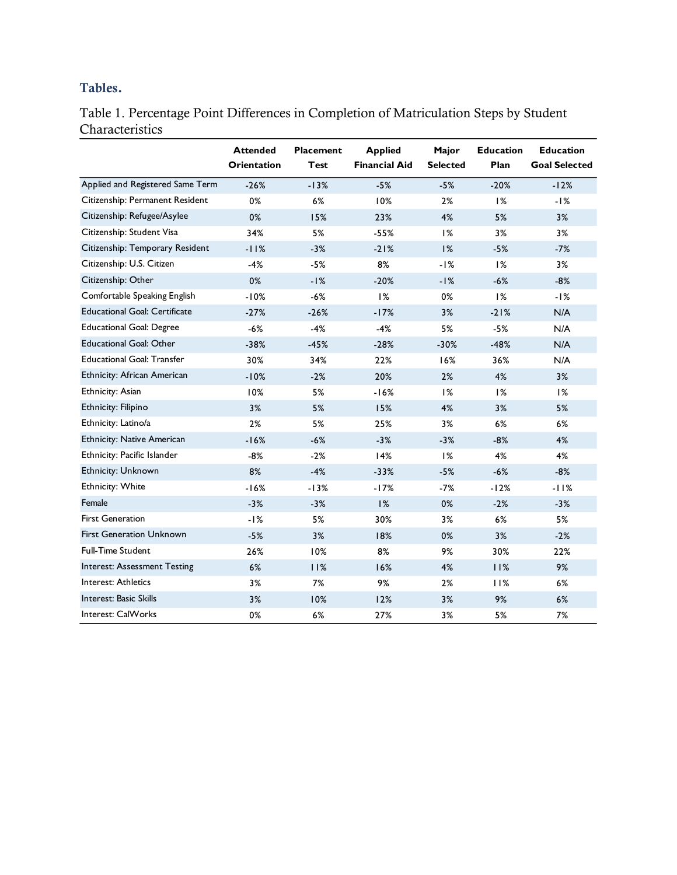### Tables.

Table 1. Percentage Point Differences in Completion of Matriculation Steps by Student Characteristics

|                                      | <b>Attended</b><br><b>Orientation</b> | <b>Placement</b><br><b>Test</b> | <b>Applied</b><br><b>Financial Aid</b> | Major<br><b>Selected</b> | <b>Education</b><br>Plan | <b>Education</b><br><b>Goal Selected</b> |
|--------------------------------------|---------------------------------------|---------------------------------|----------------------------------------|--------------------------|--------------------------|------------------------------------------|
| Applied and Registered Same Term     | $-26%$                                | $-13%$                          | $-5%$                                  | $-5%$                    | $-20%$                   | $-12%$                                   |
| Citizenship: Permanent Resident      | 0%                                    | 6%                              | 10%                                    | 2%                       | 1%                       | $-1%$                                    |
| Citizenship: Refugee/Asylee          | 0%                                    | 15%                             | 23%                                    | 4%                       | 5%                       | 3%                                       |
| Citizenship: Student Visa            | 34%                                   | 5%                              | $-55%$                                 | 1%                       | 3%                       | 3%                                       |
| Citizenship: Temporary Resident      | $-11%$                                | $-3%$                           | $-21%$                                 | 1%                       | $-5%$                    | $-7%$                                    |
| Citizenship: U.S. Citizen            | $-4%$                                 | $-5%$                           | 8%                                     | $-1%$                    | 1%                       | 3%                                       |
| Citizenship: Other                   | $0\%$                                 | $-1%$                           | $-20%$                                 | $-1%$                    | $-6%$                    | $-8%$                                    |
| Comfortable Speaking English         | $-10%$                                | $-6%$                           | 1%                                     | 0%                       | 1%                       | $-1%$                                    |
| <b>Educational Goal: Certificate</b> | $-27%$                                | $-26%$                          | $-17%$                                 | 3%                       | $-21%$                   | N/A                                      |
| <b>Educational Goal: Degree</b>      | $-6%$                                 | $-4%$                           | $-4%$                                  | 5%                       | $-5%$                    | N/A                                      |
| <b>Educational Goal: Other</b>       | $-38%$                                | $-45%$                          | $-28%$                                 | $-30%$                   | $-48%$                   | N/A                                      |
| <b>Educational Goal: Transfer</b>    | 30%                                   | 34%                             | 22%                                    | 16%                      | 36%                      | N/A                                      |
| Ethnicity: African American          | $-10%$                                | $-2%$                           | 20%                                    | 2%                       | 4%                       | 3%                                       |
| Ethnicity: Asian                     | 10%                                   | 5%                              | $-16%$                                 | 1%                       | 1%                       | 1%                                       |
| Ethnicity: Filipino                  | 3%                                    | 5%                              | 15%                                    | 4%                       | 3%                       | 5%                                       |
| Ethnicity: Latino/a                  | 2%                                    | 5%                              | 25%                                    | 3%                       | 6%                       | 6%                                       |
| <b>Ethnicity: Native American</b>    | $-16%$                                | $-6%$                           | $-3%$                                  | $-3%$                    | $-8%$                    | 4%                                       |
| Ethnicity: Pacific Islander          | $-8%$                                 | $-2%$                           | 14%                                    | 1%                       | 4%                       | 4%                                       |
| Ethnicity: Unknown                   | 8%                                    | $-4%$                           | $-33%$                                 | $-5%$                    | $-6%$                    | $-8%$                                    |
| Ethnicity: White                     | $-16%$                                | $-13%$                          | $-17%$                                 | $-7%$                    | $-12%$                   | $-11%$                                   |
| Female                               | $-3%$                                 | $-3%$                           | 1%                                     | 0%                       | $-2%$                    | $-3%$                                    |
| <b>First Generation</b>              | $-1%$                                 | 5%                              | 30%                                    | 3%                       | 6%                       | 5%                                       |
| <b>First Generation Unknown</b>      | $-5%$                                 | 3%                              | 18%                                    | 0%                       | 3%                       | $-2%$                                    |
| <b>Full-Time Student</b>             | 26%                                   | 10%                             | 8%                                     | 9%                       | 30%                      | 22%                                      |
| Interest: Assessment Testing         | 6%                                    | 11%                             | 16%                                    | 4%                       | 11%                      | 9%                                       |
| Interest: Athletics                  | 3%                                    | 7%                              | 9%                                     | 2%                       | 11%                      | 6%                                       |
| Interest: Basic Skills               | 3%                                    | 10%                             | 12%                                    | 3%                       | 9%                       | 6%                                       |
| Interest: CalWorks                   | 0%                                    | $6\%$                           | 27%                                    | 3%                       | 5%                       | 7%                                       |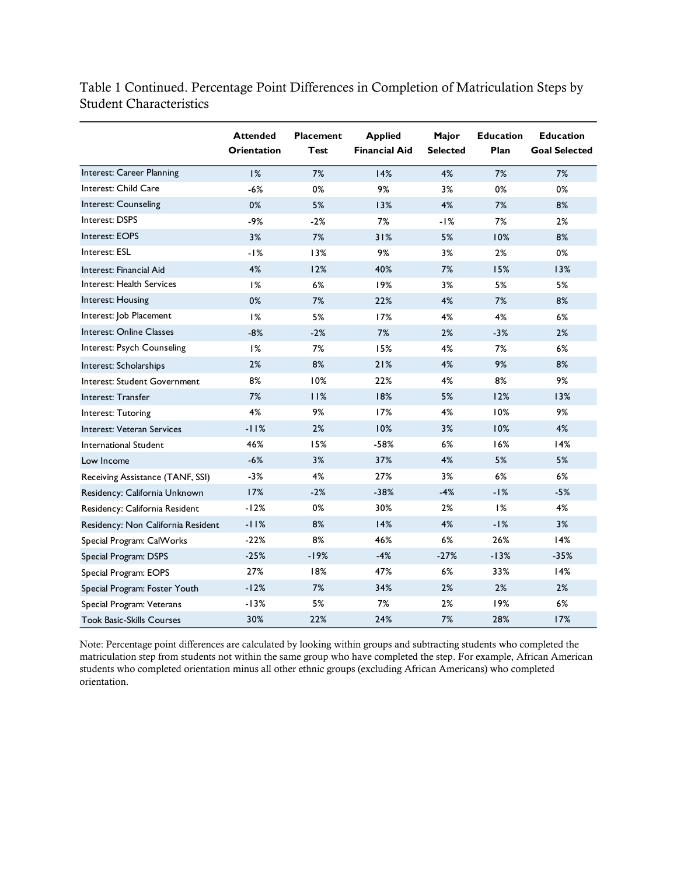Table 1 Continued. Percentage Point Differences in Completion of Matriculation Steps by Student Characteristics

|                                    | <b>Attended</b><br><b>Orientation</b> | <b>Placement</b><br><b>Test</b> | <b>Applied</b><br><b>Financial Aid</b> | Major<br><b>Selected</b> | <b>Education</b><br>Plan | <b>Education</b><br><b>Goal Selected</b> |
|------------------------------------|---------------------------------------|---------------------------------|----------------------------------------|--------------------------|--------------------------|------------------------------------------|
| Interest: Career Planning          | 1%                                    | 7%                              | 14%                                    | 4%                       | 7%                       | 7%                                       |
| Interest: Child Care               | $-6%$                                 | 0%                              | 9%                                     | 3%                       | 0%                       | 0%                                       |
| Interest: Counseling               | $0\%$                                 | 5%                              | 13%                                    | 4%                       | 7%                       | 8%                                       |
| Interest: DSPS                     | $-9%$                                 | $-2%$                           | 7%                                     | $-1%$                    | 7%                       | 2%                                       |
| Interest: EOPS                     | 3%                                    | 7%                              | 31%                                    | 5%                       | 10%                      | 8%                                       |
| Interest: ESL                      | $-1%$                                 | 13%                             | 9%                                     | 3%                       | 2%                       | 0%                                       |
| Interest: Financial Aid            | 4%                                    | 12%                             | 40%                                    | 7%                       | 15%                      | 13%                                      |
| Interest: Health Services          | 1%                                    | 6%                              | 19%                                    | 3%                       | 5%                       | 5%                                       |
| Interest: Housing                  | 0%                                    | 7%                              | 22%                                    | 4%                       | 7%                       | 8%                                       |
| Interest: Job Placement            | 1%                                    | 5%                              | 17%                                    | 4%                       | 4%                       | $6\%$                                    |
| Interest: Online Classes           | $-8%$                                 | $-2%$                           | 7%                                     | 2%                       | $-3%$                    | 2%                                       |
| Interest: Psych Counseling         | 1%                                    | 7%                              | 15%                                    | 4%                       | 7%                       | 6%                                       |
| Interest: Scholarships             | 2%                                    | 8%                              | 21%                                    | 4%                       | 9%                       | 8%                                       |
| Interest: Student Government       | 8%                                    | 10%                             | 22%                                    | 4%                       | 8%                       | 9%                                       |
| Interest: Transfer                 | 7%                                    | 11%                             | 18%                                    | 5%                       | 12%                      | 13%                                      |
| Interest: Tutoring                 | 4%                                    | 9%                              | 17%                                    | 4%                       | 10%                      | 9%                                       |
| Interest: Veteran Services         | $-11%$                                | 2%                              | 10%                                    | 3%                       | 10%                      | 4%                                       |
| International Student              | 46%                                   | 15%                             | $-58%$                                 | 6%                       | 16%                      | 14%                                      |
| Low Income                         | $-6%$                                 | 3%                              | 37%                                    | 4%                       | 5%                       | 5%                                       |
| Receiving Assistance (TANF, SSI)   | $-3%$                                 | 4%                              | 27%                                    | 3%                       | 6%                       | 6%                                       |
| Residency: California Unknown      | 17%                                   | $-2%$                           | $-38%$                                 | $-4%$                    | $-1%$                    | $-5%$                                    |
| Residency: California Resident     | $-12%$                                | 0%                              | 30%                                    | 2%                       | 1%                       | 4%                                       |
| Residency: Non California Resident | $-11%$                                | 8%                              | 14%                                    | 4%                       | $-1%$                    | 3%                                       |
| Special Program: CalWorks          | $-22%$                                | 8%                              | 46%                                    | 6%                       | 26%                      | 14%                                      |
| Special Program: DSPS              | $-25%$                                | $-19%$                          | $-4%$                                  | $-27%$                   | $-13%$                   | $-35%$                                   |
| Special Program: EOPS              | 27%                                   | 18%                             | 47%                                    | $6\%$                    | 33%                      | 14%                                      |
| Special Program: Foster Youth      | $-12%$                                | 7%                              | 34%                                    | 2%                       | 2%                       | 2%                                       |
| Special Program: Veterans          | $-13%$                                | 5%                              | 7%                                     | 2%                       | 19%                      | 6%                                       |
| <b>Took Basic-Skills Courses</b>   | 30%                                   | 22%                             | 24%                                    | 7%                       | 28%                      | 17%                                      |

Note: Percentage point differences are calculated by looking within groups and subtracting students who completed the matriculation step from students not within the same group who have completed the step. For example, African American students who completed orientation minus all other ethnic groups (excluding African Americans) who completed orientation.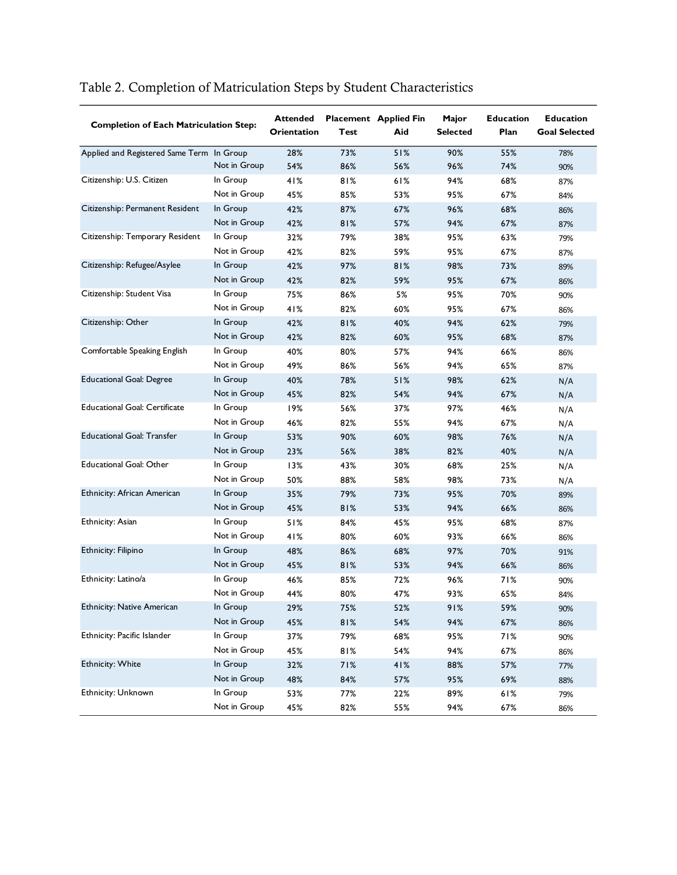| <b>Completion of Each Matriculation Step:</b> |              | <b>Attended</b><br><b>Orientation</b> | Test | <b>Placement</b> Applied Fin<br>Aid | Major<br><b>Selected</b> | <b>Education</b><br>Plan | <b>Education</b><br><b>Goal Selected</b> |
|-----------------------------------------------|--------------|---------------------------------------|------|-------------------------------------|--------------------------|--------------------------|------------------------------------------|
| Applied and Registered Same Term In Group     |              | 28%                                   | 73%  | 51%                                 | 90%                      | 55%                      | 78%                                      |
|                                               | Not in Group | 54%                                   | 86%  | 56%                                 | 96%                      | 74%                      | 90%                                      |
| Citizenship: U.S. Citizen                     | In Group     | 41%                                   | 81%  | 61%                                 | 94%                      | 68%                      | 87%                                      |
|                                               | Not in Group | 45%                                   | 85%  | 53%                                 | 95%                      | 67%                      | 84%                                      |
| Citizenship: Permanent Resident               | In Group     | 42%                                   | 87%  | 67%                                 | 96%                      | 68%                      | 86%                                      |
|                                               | Not in Group | 42%                                   | 81%  | 57%                                 | 94%                      | 67%                      | 87%                                      |
| Citizenship: Temporary Resident               | In Group     | 32%                                   | 79%  | 38%                                 | 95%                      | 63%                      | 79%                                      |
|                                               | Not in Group | 42%                                   | 82%  | 59%                                 | 95%                      | 67%                      | 87%                                      |
| Citizenship: Refugee/Asylee                   | In Group     | 42%                                   | 97%  | 81%                                 | 98%                      | 73%                      | 89%                                      |
|                                               | Not in Group | 42%                                   | 82%  | 59%                                 | 95%                      | 67%                      | 86%                                      |
| Citizenship: Student Visa                     | In Group     | 75%                                   | 86%  | 5%                                  | 95%                      | 70%                      | 90%                                      |
|                                               | Not in Group | 41%                                   | 82%  | 60%                                 | 95%                      | 67%                      | 86%                                      |
| Citizenship: Other                            | In Group     | 42%                                   | 81%  | 40%                                 | 94%                      | 62%                      | 79%                                      |
|                                               | Not in Group | 42%                                   | 82%  | 60%                                 | 95%                      | 68%                      | 87%                                      |
| Comfortable Speaking English                  | In Group     | 40%                                   | 80%  | 57%                                 | 94%                      | 66%                      | 86%                                      |
|                                               | Not in Group | 49%                                   | 86%  | 56%                                 | 94%                      | 65%                      | 87%                                      |
| <b>Educational Goal: Degree</b>               | In Group     | 40%                                   | 78%  | 51%                                 | 98%                      | 62%                      | N/A                                      |
|                                               | Not in Group | 45%                                   | 82%  | 54%                                 | 94%                      | 67%                      | N/A                                      |
| <b>Educational Goal: Certificate</b>          | In Group     | 19%                                   | 56%  | 37%                                 | 97%                      | 46%                      | N/A                                      |
|                                               | Not in Group | 46%                                   | 82%  | 55%                                 | 94%                      | 67%                      | N/A                                      |
| <b>Educational Goal: Transfer</b>             | In Group     | 53%                                   | 90%  | 60%                                 | 98%                      | 76%                      | N/A                                      |
|                                               | Not in Group | 23%                                   | 56%  | 38%                                 | 82%                      | 40%                      | N/A                                      |
| <b>Educational Goal: Other</b>                | In Group     | 13%                                   | 43%  | 30%                                 | 68%                      | 25%                      | N/A                                      |
|                                               | Not in Group | 50%                                   | 88%  | 58%                                 | 98%                      | 73%                      | N/A                                      |
| Ethnicity: African American                   | In Group     | 35%                                   | 79%  | 73%                                 | 95%                      | 70%                      | 89%                                      |
|                                               | Not in Group | 45%                                   | 81%  | 53%                                 | 94%                      | 66%                      | 86%                                      |
| Ethnicity: Asian                              | In Group     | 51%                                   | 84%  | 45%                                 | 95%                      | 68%                      | 87%                                      |
|                                               | Not in Group | 41%                                   | 80%  | 60%                                 | 93%                      | 66%                      | 86%                                      |
| Ethnicity: Filipino                           | In Group     | 48%                                   | 86%  | 68%                                 | 97%                      | 70%                      | 91%                                      |
|                                               | Not in Group | 45%                                   | 81%  | 53%                                 | 94%                      | 66%                      | 86%                                      |
| Ethnicity: Latino/a                           | In Group     | 46%                                   | 85%  | 72%                                 | 96%                      | 71%                      | 90%                                      |
|                                               | Not in Group | 44%                                   | 80%  | 47%                                 | 93%                      | 65%                      | 84%                                      |
| <b>Ethnicity: Native American</b>             | In Group     | 29%                                   | 75%  | 52%                                 | 91%                      | 59%                      | 90%                                      |
|                                               | Not in Group | 45%                                   | 81%  | 54%                                 | 94%                      | 67%                      | 86%                                      |
| Ethnicity: Pacific Islander                   | In Group     | 37%                                   | 79%  | 68%                                 | 95%                      | 71%                      | 90%                                      |
|                                               | Not in Group | 45%                                   | 81%  | 54%                                 | 94%                      | 67%                      | 86%                                      |
| <b>Ethnicity: White</b>                       | In Group     | 32%                                   | 71%  | 41%                                 | 88%                      | 57%                      | 77%                                      |
|                                               | Not in Group | 48%                                   | 84%  | 57%                                 | 95%                      | 69%                      | 88%                                      |
| Ethnicity: Unknown                            | In Group     | 53%                                   | 77%  | 22%                                 | 89%                      | 61%                      | 79%                                      |
|                                               | Not in Group | 45%                                   | 82%  | 55%                                 | 94%                      | 67%                      | 86%                                      |

# Table 2. Completion of Matriculation Steps by Student Characteristics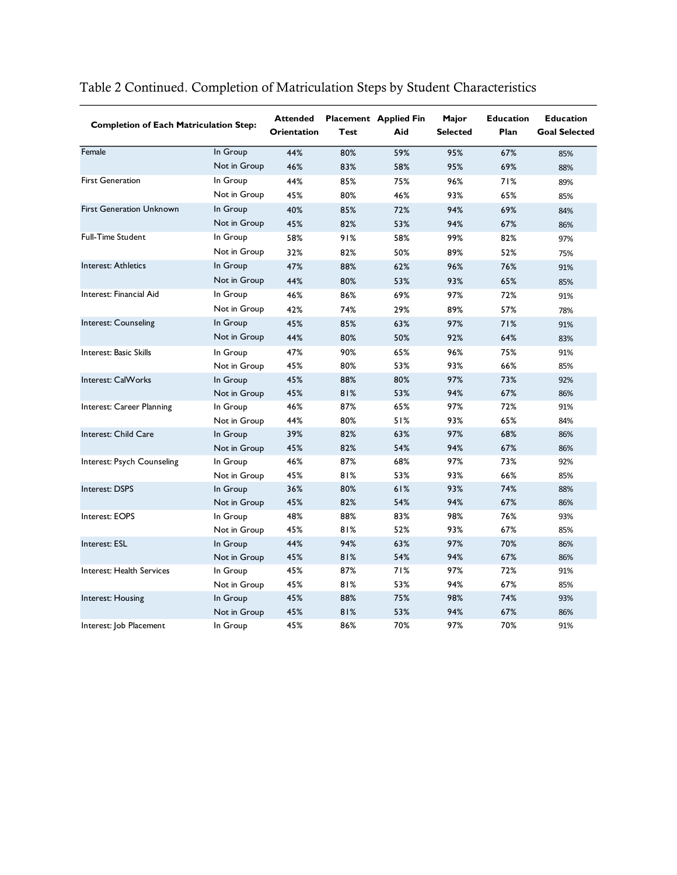| <b>Completion of Each Matriculation Step:</b> |              | <b>Attended</b><br><b>Orientation</b> | Test | <b>Placement</b> Applied Fin<br>Aid | Major<br><b>Selected</b> | <b>Education</b><br>Plan | <b>Education</b><br><b>Goal Selected</b> |
|-----------------------------------------------|--------------|---------------------------------------|------|-------------------------------------|--------------------------|--------------------------|------------------------------------------|
| Female                                        | In Group     | 44%                                   | 80%  | 59%                                 | 95%                      | 67%                      | 85%                                      |
|                                               | Not in Group | 46%                                   | 83%  | 58%                                 | 95%                      | 69%                      | 88%                                      |
| <b>First Generation</b>                       | In Group     | 44%                                   | 85%  | 75%                                 | 96%                      | 71%                      | 89%                                      |
|                                               | Not in Group | 45%                                   | 80%  | 46%                                 | 93%                      | 65%                      | 85%                                      |
| <b>First Generation Unknown</b>               | In Group     | 40%                                   | 85%  | 72%                                 | 94%                      | 69%                      | 84%                                      |
|                                               | Not in Group | 45%                                   | 82%  | 53%                                 | 94%                      | 67%                      | 86%                                      |
| <b>Full-Time Student</b>                      | In Group     | 58%                                   | 91%  | 58%                                 | 99%                      | 82%                      | 97%                                      |
|                                               | Not in Group | 32%                                   | 82%  | 50%                                 | 89%                      | 52%                      | 75%                                      |
| Interest: Athletics                           | In Group     | 47%                                   | 88%  | 62%                                 | 96%                      | 76%                      | 91%                                      |
|                                               | Not in Group | 44%                                   | 80%  | 53%                                 | 93%                      | 65%                      | 85%                                      |
| Interest: Financial Aid                       | In Group     | 46%                                   | 86%  | 69%                                 | 97%                      | 72%                      | 91%                                      |
|                                               | Not in Group | 42%                                   | 74%  | 29%                                 | 89%                      | 57%                      | 78%                                      |
| Interest: Counseling                          | In Group     | 45%                                   | 85%  | 63%                                 | 97%                      | 71%                      | 91%                                      |
|                                               | Not in Group | 44%                                   | 80%  | 50%                                 | 92%                      | 64%                      | 83%                                      |
| Interest: Basic Skills                        | In Group     | 47%                                   | 90%  | 65%                                 | 96%                      | 75%                      | 91%                                      |
|                                               | Not in Group | 45%                                   | 80%  | 53%                                 | 93%                      | 66%                      | 85%                                      |
| Interest: CalWorks                            | In Group     | 45%                                   | 88%  | 80%                                 | 97%                      | 73%                      | 92%                                      |
|                                               | Not in Group | 45%                                   | 81%  | 53%                                 | 94%                      | 67%                      | 86%                                      |
| Interest: Career Planning                     | In Group     | 46%                                   | 87%  | 65%                                 | 97%                      | 72%                      | 91%                                      |
|                                               | Not in Group | 44%                                   | 80%  | 51%                                 | 93%                      | 65%                      | 84%                                      |
| Interest: Child Care                          | In Group     | 39%                                   | 82%  | 63%                                 | 97%                      | 68%                      | 86%                                      |
|                                               | Not in Group | 45%                                   | 82%  | 54%                                 | 94%                      | 67%                      | 86%                                      |
| Interest: Psych Counseling                    | In Group     | 46%                                   | 87%  | 68%                                 | 97%                      | 73%                      | 92%                                      |
|                                               | Not in Group | 45%                                   | 81%  | 53%                                 | 93%                      | 66%                      | 85%                                      |
| Interest: DSPS                                | In Group     | 36%                                   | 80%  | 61%                                 | 93%                      | 74%                      | 88%                                      |
|                                               | Not in Group | 45%                                   | 82%  | 54%                                 | 94%                      | 67%                      | 86%                                      |
| Interest: EOPS                                | In Group     | 48%                                   | 88%  | 83%                                 | 98%                      | 76%                      | 93%                                      |
|                                               | Not in Group | 45%                                   | 81%  | 52%                                 | 93%                      | 67%                      | 85%                                      |
| Interest: ESL                                 | In Group     | 44%                                   | 94%  | 63%                                 | 97%                      | 70%                      | 86%                                      |
|                                               | Not in Group | 45%                                   | 81%  | 54%                                 | 94%                      | 67%                      | 86%                                      |
| Interest: Health Services                     | In Group     | 45%                                   | 87%  | 71%                                 | 97%                      | 72%                      | 91%                                      |
|                                               | Not in Group | 45%                                   | 81%  | 53%                                 | 94%                      | 67%                      | 85%                                      |
| Interest: Housing                             | In Group     | 45%                                   | 88%  | 75%                                 | 98%                      | 74%                      | 93%                                      |
|                                               | Not in Group | 45%                                   | 81%  | 53%                                 | 94%                      | 67%                      | 86%                                      |
| Interest: Job Placement                       | In Group     | 45%                                   | 86%  | 70%                                 | 97%                      | 70%                      | 91%                                      |

# Table 2 Continued. Completion of Matriculation Steps by Student Characteristics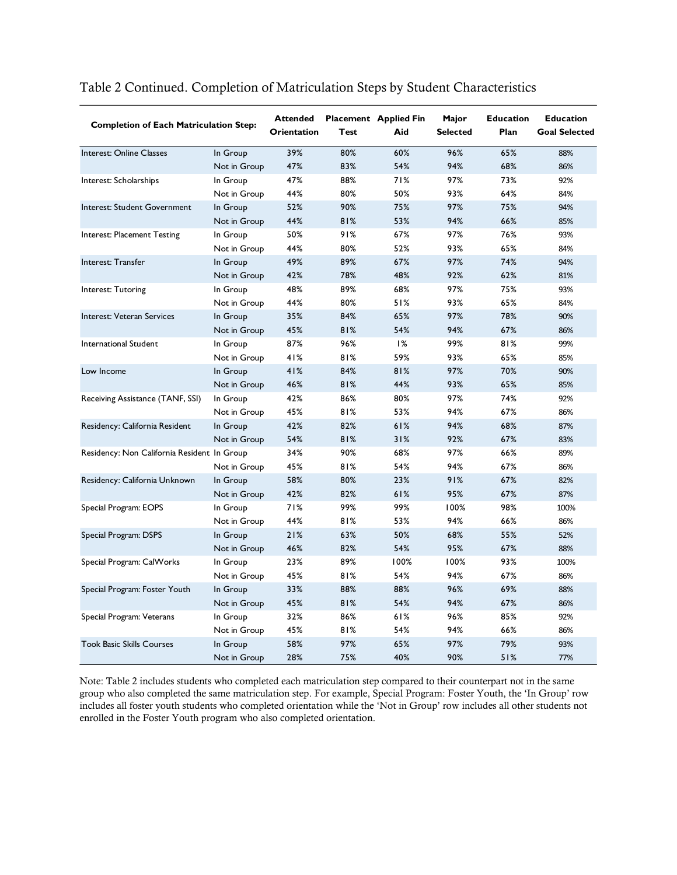| <b>Completion of Each Matriculation Step:</b> |              | <b>Attended</b><br>Orientation | Test | <b>Placement</b> Applied Fin<br>Aid | Major<br><b>Selected</b> | <b>Education</b><br>Plan | <b>Education</b><br><b>Goal Selected</b> |
|-----------------------------------------------|--------------|--------------------------------|------|-------------------------------------|--------------------------|--------------------------|------------------------------------------|
| Interest: Online Classes                      | In Group     | 39%                            | 80%  | 60%                                 | 96%                      | 65%                      | 88%                                      |
|                                               | Not in Group | 47%                            | 83%  | 54%                                 | 94%                      | 68%                      | 86%                                      |
| Interest: Scholarships                        | In Group     | 47%                            | 88%  | 71%                                 | 97%                      | 73%                      | 92%                                      |
|                                               | Not in Group | 44%                            | 80%  | 50%                                 | 93%                      | 64%                      | 84%                                      |
| Interest: Student Government                  | In Group     | 52%                            | 90%  | 75%                                 | 97%                      | 75%                      | 94%                                      |
|                                               | Not in Group | 44%                            | 81%  | 53%                                 | 94%                      | 66%                      | 85%                                      |
| Interest: Placement Testing                   | In Group     | 50%                            | 91%  | 67%                                 | 97%                      | 76%                      | 93%                                      |
|                                               | Not in Group | 44%                            | 80%  | 52%                                 | 93%                      | 65%                      | 84%                                      |
| Interest: Transfer                            | In Group     | 49%                            | 89%  | 67%                                 | 97%                      | 74%                      | 94%                                      |
|                                               | Not in Group | 42%                            | 78%  | 48%                                 | 92%                      | 62%                      | 81%                                      |
| Interest: Tutoring                            | In Group     | 48%                            | 89%  | 68%                                 | 97%                      | 75%                      | 93%                                      |
|                                               | Not in Group | 44%                            | 80%  | 51%                                 | 93%                      | 65%                      | 84%                                      |
| Interest: Veteran Services                    | In Group     | 35%                            | 84%  | 65%                                 | 97%                      | 78%                      | 90%                                      |
|                                               | Not in Group | 45%                            | 81%  | 54%                                 | 94%                      | 67%                      | 86%                                      |
| <b>International Student</b>                  | In Group     | 87%                            | 96%  | 1%                                  | 99%                      | 81%                      | 99%                                      |
|                                               | Not in Group | 41%                            | 81%  | 59%                                 | 93%                      | 65%                      | 85%                                      |
| Low Income                                    | In Group     | 41%                            | 84%  | 81%                                 | 97%                      | 70%                      | 90%                                      |
|                                               | Not in Group | 46%                            | 81%  | 44%                                 | 93%                      | 65%                      | 85%                                      |
| Receiving Assistance (TANF, SSI)              | In Group     | 42%                            | 86%  | 80%                                 | 97%                      | 74%                      | 92%                                      |
|                                               | Not in Group | 45%                            | 81%  | 53%                                 | 94%                      | 67%                      | 86%                                      |
| Residency: California Resident                | In Group     | 42%                            | 82%  | 61%                                 | 94%                      | 68%                      | 87%                                      |
|                                               | Not in Group | 54%                            | 81%  | 31%                                 | 92%                      | 67%                      | 83%                                      |
| Residency: Non California Resident In Group   |              | 34%                            | 90%  | 68%                                 | 97%                      | 66%                      | 89%                                      |
|                                               | Not in Group | 45%                            | 81%  | 54%                                 | 94%                      | 67%                      | 86%                                      |
| Residency: California Unknown                 | In Group     | 58%                            | 80%  | 23%                                 | 91%                      | 67%                      | 82%                                      |
|                                               | Not in Group | 42%                            | 82%  | 61%                                 | 95%                      | 67%                      | 87%                                      |
| Special Program: EOPS                         | In Group     | 71%                            | 99%  | 99%                                 | 100%                     | 98%                      | 100%                                     |
|                                               | Not in Group | 44%                            | 81%  | 53%                                 | 94%                      | 66%                      | 86%                                      |
| Special Program: DSPS                         | In Group     | 21%                            | 63%  | 50%                                 | 68%                      | 55%                      | 52%                                      |
|                                               | Not in Group | 46%                            | 82%  | 54%                                 | 95%                      | 67%                      | 88%                                      |
| Special Program: CalWorks                     | In Group     | 23%                            | 89%  | 100%                                | 100%                     | 93%                      | 100%                                     |
|                                               | Not in Group | 45%                            | 81%  | 54%                                 | 94%                      | 67%                      | 86%                                      |
| Special Program: Foster Youth                 | In Group     | 33%                            | 88%  | 88%                                 | 96%                      | 69%                      | 88%                                      |
|                                               | Not in Group | 45%                            | 81%  | 54%                                 | 94%                      | 67%                      | 86%                                      |
| Special Program: Veterans                     | In Group     | 32%                            | 86%  | 61%                                 | 96%                      | 85%                      | 92%                                      |
|                                               | Not in Group | 45%                            | 81%  | 54%                                 | 94%                      | 66%                      | 86%                                      |
| <b>Took Basic Skills Courses</b>              | In Group     | 58%                            | 97%  | 65%                                 | 97%                      | 79%                      | 93%                                      |
|                                               | Not in Group | 28%                            | 75%  | 40%                                 | 90%                      | 51%                      | 77%                                      |

#### Table 2 Continued. Completion of Matriculation Steps by Student Characteristics

Note: Table 2 includes students who completed each matriculation step compared to their counterpart not in the same group who also completed the same matriculation step. For example, Special Program: Foster Youth, the 'In Group' row includes all foster youth students who completed orientation while the 'Not in Group' row includes all other students not enrolled in the Foster Youth program who also completed orientation.